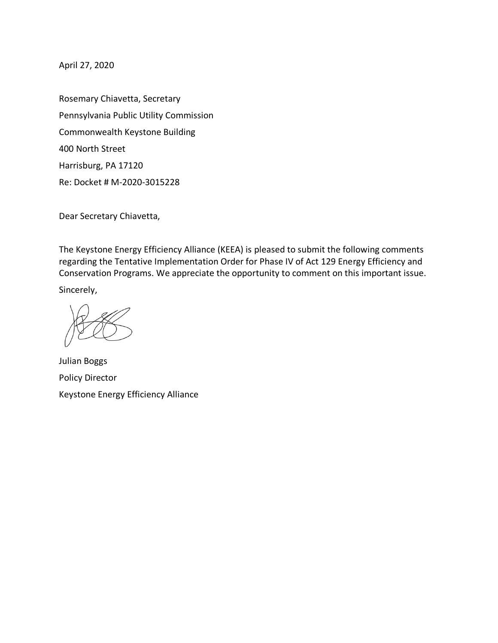April 27, 2020

Rosemary Chiavetta, Secretary Pennsylvania Public Utility Commission Commonwealth Keystone Building 400 North Street Harrisburg, PA 17120 Re: Docket # M-2020-3015228

Dear Secretary Chiavetta,

The Keystone Energy Efficiency Alliance (KEEA) is pleased to submit the following comments regarding the Tentative Implementation Order for Phase IV of Act 129 Energy Efficiency and Conservation Programs. We appreciate the opportunity to comment on this important issue.

Sincerely,

Julian Boggs Policy Director Keystone Energy Efficiency Alliance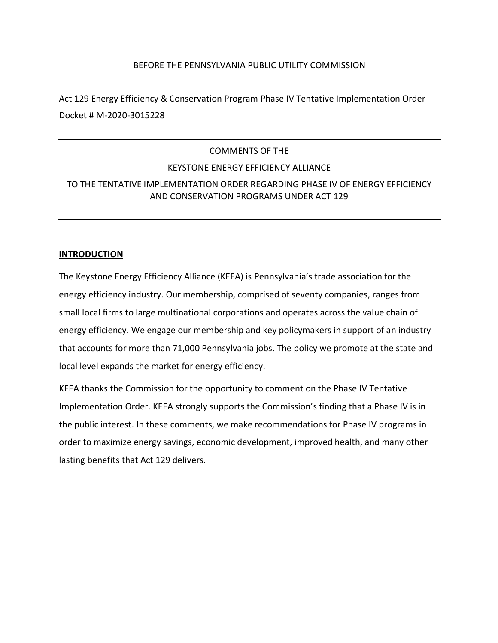### BEFORE THE PENNSYLVANIA PUBLIC UTILITY COMMISSION

Act 129 Energy Efficiency & Conservation Program Phase IV Tentative Implementation Order Docket # M-2020-3015228

# COMMENTS OF THE KEYSTONE ENERGY EFFICIENCY ALLIANCE TO THE TENTATIVE IMPLEMENTATION ORDER REGARDING PHASE IV OF ENERGY EFFICIENCY AND CONSERVATION PROGRAMS UNDER ACT 129

### **INTRODUCTION**

The Keystone Energy Efficiency Alliance (KEEA) is Pennsylvania's trade association for the energy efficiency industry. Our membership, comprised of seventy companies, ranges from small local firms to large multinational corporations and operates across the value chain of energy efficiency. We engage our membership and key policymakers in support of an industry that accounts for more than 71,000 Pennsylvania jobs. The policy we promote at the state and local level expands the market for energy efficiency.

KEEA thanks the Commission for the opportunity to comment on the Phase IV Tentative Implementation Order. KEEA strongly supports the Commission's finding that a Phase IV is in the public interest. In these comments, we make recommendations for Phase IV programs in order to maximize energy savings, economic development, improved health, and many other lasting benefits that Act 129 delivers.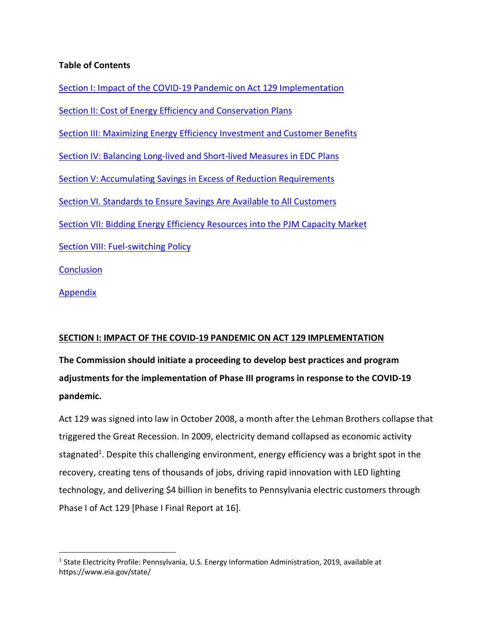## **Table of Contents**

 $\overline{a}$ 

Section I: Impact of the COVID-19 Pandemic on Act 129 Implementation Section II: Cost of Energy Efficiency and Conservation Plans Section III: Maximizing Energy Efficiency Investment and Customer Benefits Section IV: Balancing Long-lived and Short-lived Measures in EDC Plans Section V: Accumulating Savings in Excess of Reduction Requirements Section VI. Standards to Ensure Savings Are Available to All Customers Section VII: Bidding Energy Efficiency Resources into the PJM Capacity Market Section VIII: Fuel-switching Policy **Conclusion** Appendix

## **SECTION I: IMPACT OF THE COVID-19 PANDEMIC ON ACT 129 IMPLEMENTATION**

**The Commission should initiate a proceeding to develop best practices and program adjustments for the implementation of Phase III programs in response to the COVID-19 pandemic.**

Act 129 was signed into law in October 2008, a month after the Lehman Brothers collapse that triggered the Great Recession. In 2009, electricity demand collapsed as economic activity stagnated<sup>1</sup>. Despite this challenging environment, energy efficiency was a bright spot in the recovery, creating tens of thousands of jobs, driving rapid innovation with LED lighting technology, and delivering \$4 billion in benefits to Pennsylvania electric customers through Phase I of Act 129 [Phase I Final Report at 16].

<sup>&</sup>lt;sup>1</sup> State Electricity Profile: Pennsylvania, U.S. Energy Information Administration, 2019, available at https://www.eia.gov/state/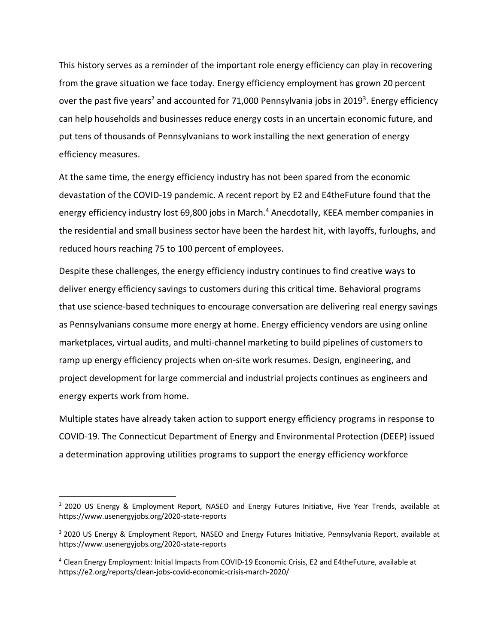This history serves as a reminder of the important role energy efficiency can play in recovering from the grave situation we face today. Energy efficiency employment has grown 20 percent over the past five years<sup>2</sup> and accounted for 71,000 Pennsylvania jobs in 2019<sup>3</sup>. Energy efficiency can help households and businesses reduce energy costs in an uncertain economic future, and put tens of thousands of Pennsylvanians to work installing the next generation of energy efficiency measures.

At the same time, the energy efficiency industry has not been spared from the economic devastation of the COVID-19 pandemic. A recent report by E2 and E4theFuture found that the energy efficiency industry lost 69,800 jobs in March.<sup>4</sup> Anecdotally, KEEA member companies in the residential and small business sector have been the hardest hit, with layoffs, furloughs, and reduced hours reaching 75 to 100 percent of employees.

Despite these challenges, the energy efficiency industry continues to find creative ways to deliver energy efficiency savings to customers during this critical time. Behavioral programs that use science-based techniques to encourage conversation are delivering real energy savings as Pennsylvanians consume more energy at home. Energy efficiency vendors are using online marketplaces, virtual audits, and multi-channel marketing to build pipelines of customers to ramp up energy efficiency projects when on-site work resumes. Design, engineering, and project development for large commercial and industrial projects continues as engineers and energy experts work from home.

Multiple states have already taken action to support energy efficiency programs in response to COVID-19. The Connecticut Department of Energy and Environmental Protection (DEEP) issued a determination approving utilities programs to support the energy efficiency workforce

 $<sup>2</sup>$  2020 US Energy & Employment Report, NASEO and Energy Futures Initiative, Five Year Trends, available at</sup> https://www.usenergyjobs.org/2020-state-reports

<sup>&</sup>lt;sup>3</sup> 2020 US Energy & Employment Report, NASEO and Energy Futures Initiative, Pennsylvania Report, available at https://www.usenergyjobs.org/2020-state-reports

<sup>4</sup> Clean Energy Employment: Initial Impacts from COVID-19 Economic Crisis, E2 and E4theFuture, available at https://e2.org/reports/clean-jobs-covid-economic-crisis-march-2020/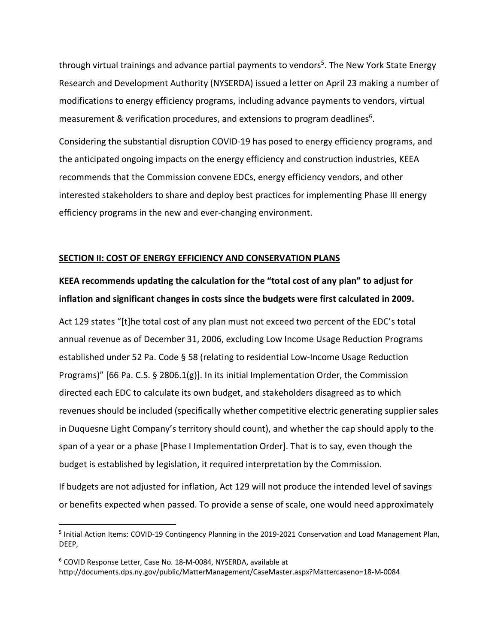through virtual trainings and advance partial payments to vendors<sup>5</sup>. The New York State Energy Research and Development Authority (NYSERDA) issued a letter on April 23 making a number of modifications to energy efficiency programs, including advance payments to vendors, virtual measurement & verification procedures, and extensions to program deadlines<sup>6</sup>.

Considering the substantial disruption COVID-19 has posed to energy efficiency programs, and the anticipated ongoing impacts on the energy efficiency and construction industries, KEEA recommends that the Commission convene EDCs, energy efficiency vendors, and other interested stakeholders to share and deploy best practices for implementing Phase III energy efficiency programs in the new and ever-changing environment.

### **SECTION II: COST OF ENERGY EFFICIENCY AND CONSERVATION PLANS**

# **KEEA recommends updating the calculation for the "total cost of any plan" to adjust for inflation and significant changes in costs since the budgets were first calculated in 2009.**

Act 129 states "[t]he total cost of any plan must not exceed two percent of the EDC's total annual revenue as of December 31, 2006, excluding Low Income Usage Reduction Programs established under 52 Pa. Code § 58 (relating to residential Low-Income Usage Reduction Programs)" [66 Pa. C.S. § 2806.1(g)]. In its initial Implementation Order, the Commission directed each EDC to calculate its own budget, and stakeholders disagreed as to which revenues should be included (specifically whether competitive electric generating supplier sales in Duquesne Light Company's territory should count), and whether the cap should apply to the span of a year or a phase [Phase I Implementation Order]. That is to say, even though the budget is established by legislation, it required interpretation by the Commission.

If budgets are not adjusted for inflation, Act 129 will not produce the intended level of savings or benefits expected when passed. To provide a sense of scale, one would need approximately

<sup>5</sup> Initial Action Items: COVID-19 Contingency Planning in the 2019-2021 Conservation and Load Management Plan, DEEP,

<sup>6</sup> COVID Response Letter, Case No. 18-M-0084, NYSERDA, available at http://documents.dps.ny.gov/public/MatterManagement/CaseMaster.aspx?Mattercaseno=18-M-0084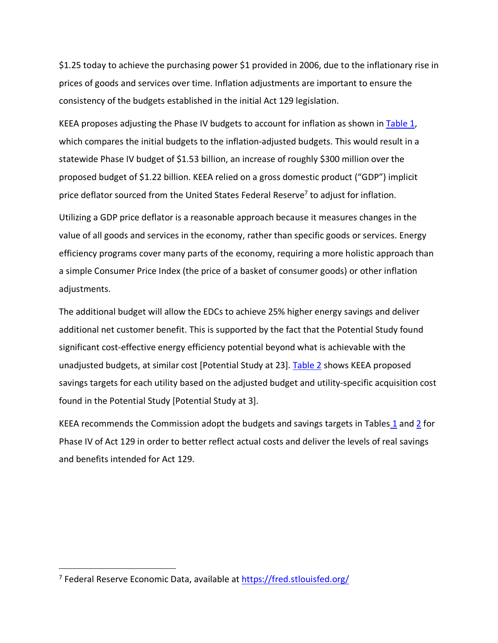\$1.25 today to achieve the purchasing power \$1 provided in 2006, due to the inflationary rise in prices of goods and services over time. Inflation adjustments are important to ensure the consistency of the budgets established in the initial Act 129 legislation.

KEEA proposes adjusting the Phase IV budgets to account for inflation as shown in Table 1, which compares the initial budgets to the inflation-adjusted budgets. This would result in a statewide Phase IV budget of \$1.53 billion, an increase of roughly \$300 million over the proposed budget of \$1.22 billion. KEEA relied on a gross domestic product ("GDP") implicit price deflator sourced from the United States Federal Reserve<sup>7</sup> to adjust for inflation.

Utilizing a GDP price deflator is a reasonable approach because it measures changes in the value of all goods and services in the economy, rather than specific goods or services. Energy efficiency programs cover many parts of the economy, requiring a more holistic approach than a simple Consumer Price Index (the price of a basket of consumer goods) or other inflation adjustments.

The additional budget will allow the EDCs to achieve 25% higher energy savings and deliver additional net customer benefit. This is supported by the fact that the Potential Study found significant cost-effective energy efficiency potential beyond what is achievable with the unadjusted budgets, at similar cost [Potential Study at 23]. Table 2 shows KEEA proposed savings targets for each utility based on the adjusted budget and utility-specific acquisition cost found in the Potential Study [Potential Study at 3].

KEEA recommends the Commission adopt the budgets and savings targets in Tables 1 and 2 for Phase IV of Act 129 in order to better reflect actual costs and deliver the levels of real savings and benefits intended for Act 129.

<sup>&</sup>lt;sup>7</sup> Federal Reserve Economic Data, available at https://fred.stlouisfed.org/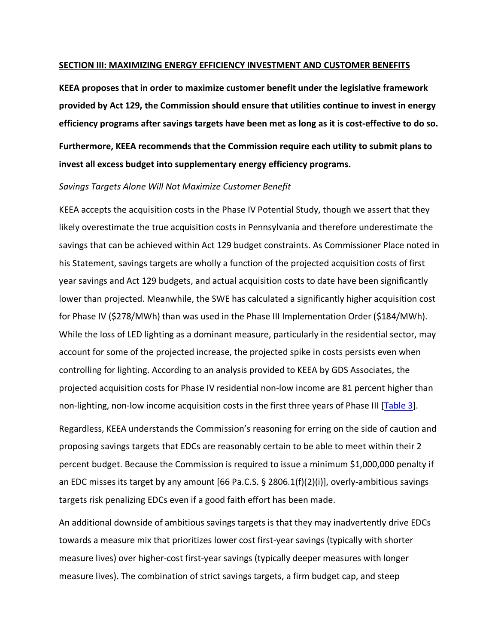#### **SECTION III: MAXIMIZING ENERGY EFFICIENCY INVESTMENT AND CUSTOMER BENEFITS**

**KEEA proposes that in order to maximize customer benefit under the legislative framework provided by Act 129, the Commission should ensure that utilities continue to invest in energy efficiency programs after savings targets have been met as long as it is cost-effective to do so. Furthermore, KEEA recommends that the Commission require each utility to submit plans to invest all excess budget into supplementary energy efficiency programs.**

#### *Savings Targets Alone Will Not Maximize Customer Benefit*

KEEA accepts the acquisition costs in the Phase IV Potential Study, though we assert that they likely overestimate the true acquisition costs in Pennsylvania and therefore underestimate the savings that can be achieved within Act 129 budget constraints. As Commissioner Place noted in his Statement, savings targets are wholly a function of the projected acquisition costs of first year savings and Act 129 budgets, and actual acquisition costs to date have been significantly lower than projected. Meanwhile, the SWE has calculated a significantly higher acquisition cost for Phase IV (\$278/MWh) than was used in the Phase III Implementation Order (\$184/MWh). While the loss of LED lighting as a dominant measure, particularly in the residential sector, may account for some of the projected increase, the projected spike in costs persists even when controlling for lighting. According to an analysis provided to KEEA by GDS Associates, the projected acquisition costs for Phase IV residential non-low income are 81 percent higher than non-lighting, non-low income acquisition costs in the first three years of Phase III [Table 3].

Regardless, KEEA understands the Commission's reasoning for erring on the side of caution and proposing savings targets that EDCs are reasonably certain to be able to meet within their 2 percent budget. Because the Commission is required to issue a minimum \$1,000,000 penalty if an EDC misses its target by any amount [66 Pa.C.S.  $\S$  2806.1(f)(2)(i)], overly-ambitious savings targets risk penalizing EDCs even if a good faith effort has been made.

An additional downside of ambitious savings targets is that they may inadvertently drive EDCs towards a measure mix that prioritizes lower cost first-year savings (typically with shorter measure lives) over higher-cost first-year savings (typically deeper measures with longer measure lives). The combination of strict savings targets, a firm budget cap, and steep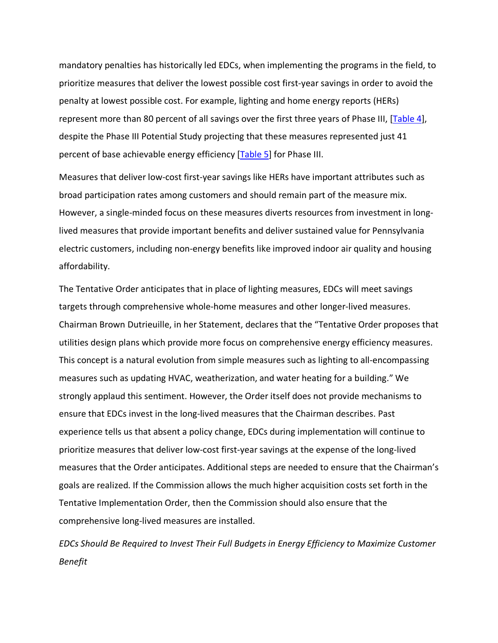mandatory penalties has historically led EDCs, when implementing the programs in the field, to prioritize measures that deliver the lowest possible cost first-year savings in order to avoid the penalty at lowest possible cost. For example, lighting and home energy reports (HERs) represent more than 80 percent of all savings over the first three years of Phase III, [Table 4], despite the Phase III Potential Study projecting that these measures represented just 41 percent of base achievable energy efficiency [Table 5] for Phase III.

Measures that deliver low-cost first-year savings like HERs have important attributes such as broad participation rates among customers and should remain part of the measure mix. However, a single-minded focus on these measures diverts resources from investment in longlived measures that provide important benefits and deliver sustained value for Pennsylvania electric customers, including non-energy benefits like improved indoor air quality and housing affordability.

The Tentative Order anticipates that in place of lighting measures, EDCs will meet savings targets through comprehensive whole-home measures and other longer-lived measures. Chairman Brown Dutrieuille, in her Statement, declares that the "Tentative Order proposes that utilities design plans which provide more focus on comprehensive energy efficiency measures. This concept is a natural evolution from simple measures such as lighting to all-encompassing measures such as updating HVAC, weatherization, and water heating for a building." We strongly applaud this sentiment. However, the Order itself does not provide mechanisms to ensure that EDCs invest in the long-lived measures that the Chairman describes. Past experience tells us that absent a policy change, EDCs during implementation will continue to prioritize measures that deliver low-cost first-year savings at the expense of the long-lived measures that the Order anticipates. Additional steps are needed to ensure that the Chairman's goals are realized. If the Commission allows the much higher acquisition costs set forth in the Tentative Implementation Order, then the Commission should also ensure that the comprehensive long-lived measures are installed.

*EDCs Should Be Required to Invest Their Full Budgets in Energy Efficiency to Maximize Customer Benefit*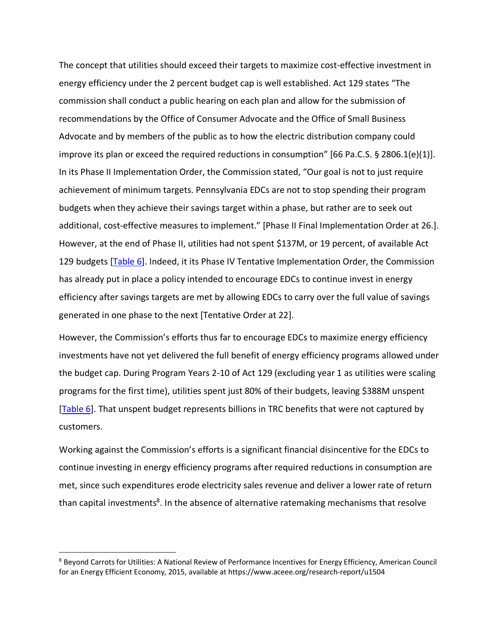The concept that utilities should exceed their targets to maximize cost-effective investment in energy efficiency under the 2 percent budget cap is well established. Act 129 states "The commission shall conduct a public hearing on each plan and allow for the submission of recommendations by the Office of Consumer Advocate and the Office of Small Business Advocate and by members of the public as to how the electric distribution company could improve its plan or exceed the required reductions in consumption" [66 Pa.C.S. § 2806.1(e)(1)]. In its Phase II Implementation Order, the Commission stated, "Our goal is not to just require achievement of minimum targets. Pennsylvania EDCs are not to stop spending their program budgets when they achieve their savings target within a phase, but rather are to seek out additional, cost-effective measures to implement." [Phase II Final Implementation Order at 26.]. However, at the end of Phase II, utilities had not spent \$137M, or 19 percent, of available Act 129 budgets [Table 6]. Indeed, it its Phase IV Tentative Implementation Order, the Commission has already put in place a policy intended to encourage EDCs to continue invest in energy efficiency after savings targets are met by allowing EDCs to carry over the full value of savings generated in one phase to the next [Tentative Order at 22].

However, the Commission's efforts thus far to encourage EDCs to maximize energy efficiency investments have not yet delivered the full benefit of energy efficiency programs allowed under the budget cap. During Program Years 2-10 of Act 129 (excluding year 1 as utilities were scaling programs for the first time), utilities spent just 80% of their budgets, leaving \$388M unspent [Table 6]. That unspent budget represents billions in TRC benefits that were not captured by customers.

Working against the Commission's efforts is a significant financial disincentive for the EDCs to continue investing in energy efficiency programs after required reductions in consumption are met, since such expenditures erode electricity sales revenue and deliver a lower rate of return than capital investments<sup>8</sup>. In the absence of alternative ratemaking mechanisms that resolve

<sup>&</sup>lt;sup>8</sup> Beyond Carrots for Utilities: A National Review of Performance Incentives for Energy Efficiency, American Council for an Energy Efficient Economy, 2015, available at https://www.aceee.org/research-report/u1504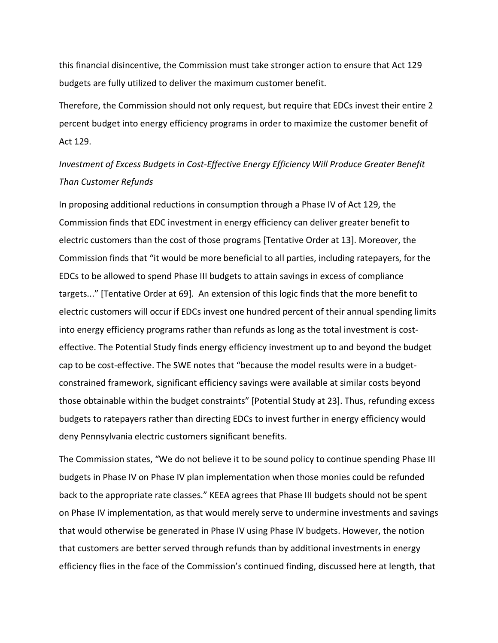this financial disincentive, the Commission must take stronger action to ensure that Act 129 budgets are fully utilized to deliver the maximum customer benefit.

Therefore, the Commission should not only request, but require that EDCs invest their entire 2 percent budget into energy efficiency programs in order to maximize the customer benefit of Act 129.

# *Investment of Excess Budgets in Cost-Effective Energy Efficiency Will Produce Greater Benefit Than Customer Refunds*

In proposing additional reductions in consumption through a Phase IV of Act 129, the Commission finds that EDC investment in energy efficiency can deliver greater benefit to electric customers than the cost of those programs [Tentative Order at 13]. Moreover, the Commission finds that "it would be more beneficial to all parties, including ratepayers, for the EDCs to be allowed to spend Phase III budgets to attain savings in excess of compliance targets..." [Tentative Order at 69]. An extension of this logic finds that the more benefit to electric customers will occur if EDCs invest one hundred percent of their annual spending limits into energy efficiency programs rather than refunds as long as the total investment is costeffective. The Potential Study finds energy efficiency investment up to and beyond the budget cap to be cost-effective. The SWE notes that "because the model results were in a budgetconstrained framework, significant efficiency savings were available at similar costs beyond those obtainable within the budget constraints" [Potential Study at 23]. Thus, refunding excess budgets to ratepayers rather than directing EDCs to invest further in energy efficiency would deny Pennsylvania electric customers significant benefits.

The Commission states, "We do not believe it to be sound policy to continue spending Phase III budgets in Phase IV on Phase IV plan implementation when those monies could be refunded back to the appropriate rate classes." KEEA agrees that Phase III budgets should not be spent on Phase IV implementation, as that would merely serve to undermine investments and savings that would otherwise be generated in Phase IV using Phase IV budgets. However, the notion that customers are better served through refunds than by additional investments in energy efficiency flies in the face of the Commission's continued finding, discussed here at length, that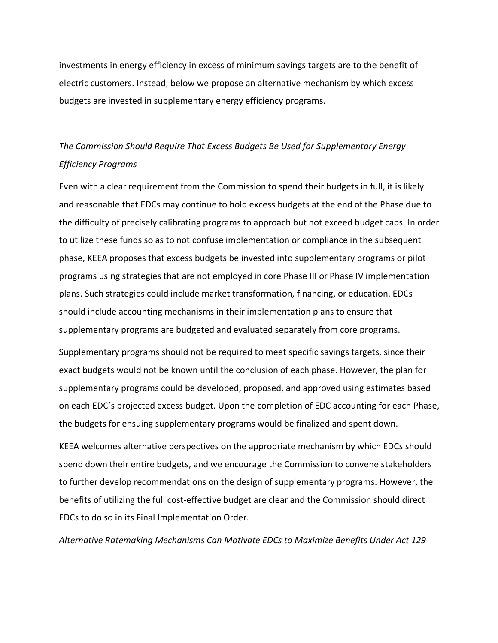investments in energy efficiency in excess of minimum savings targets are to the benefit of electric customers. Instead, below we propose an alternative mechanism by which excess budgets are invested in supplementary energy efficiency programs.

# *The Commission Should Require That Excess Budgets Be Used for Supplementary Energy Efficiency Programs*

Even with a clear requirement from the Commission to spend their budgets in full, it is likely and reasonable that EDCs may continue to hold excess budgets at the end of the Phase due to the difficulty of precisely calibrating programs to approach but not exceed budget caps. In order to utilize these funds so as to not confuse implementation or compliance in the subsequent phase, KEEA proposes that excess budgets be invested into supplementary programs or pilot programs using strategies that are not employed in core Phase III or Phase IV implementation plans. Such strategies could include market transformation, financing, or education. EDCs should include accounting mechanisms in their implementation plans to ensure that supplementary programs are budgeted and evaluated separately from core programs.

Supplementary programs should not be required to meet specific savings targets, since their exact budgets would not be known until the conclusion of each phase. However, the plan for supplementary programs could be developed, proposed, and approved using estimates based on each EDC's projected excess budget. Upon the completion of EDC accounting for each Phase, the budgets for ensuing supplementary programs would be finalized and spent down.

KEEA welcomes alternative perspectives on the appropriate mechanism by which EDCs should spend down their entire budgets, and we encourage the Commission to convene stakeholders to further develop recommendations on the design of supplementary programs. However, the benefits of utilizing the full cost-effective budget are clear and the Commission should direct EDCs to do so in its Final Implementation Order.

*Alternative Ratemaking Mechanisms Can Motivate EDCs to Maximize Benefits Under Act 129*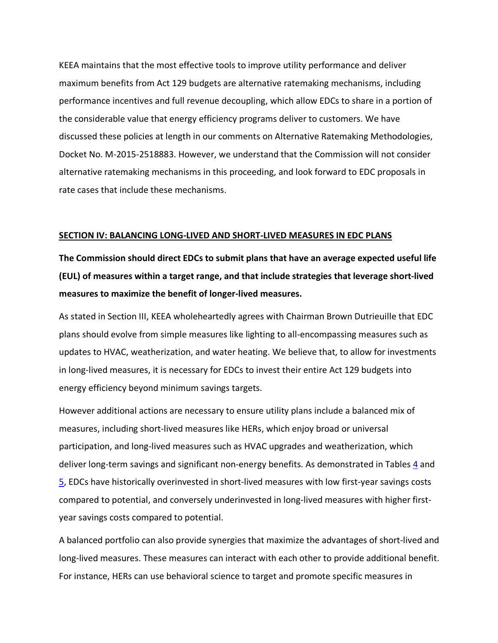KEEA maintains that the most effective tools to improve utility performance and deliver maximum benefits from Act 129 budgets are alternative ratemaking mechanisms, including performance incentives and full revenue decoupling, which allow EDCs to share in a portion of the considerable value that energy efficiency programs deliver to customers. We have discussed these policies at length in our comments on Alternative Ratemaking Methodologies, Docket No. M-2015-2518883. However, we understand that the Commission will not consider alternative ratemaking mechanisms in this proceeding, and look forward to EDC proposals in rate cases that include these mechanisms.

#### **SECTION IV: BALANCING LONG-LIVED AND SHORT-LIVED MEASURES IN EDC PLANS**

**The Commission should direct EDCs to submit plans that have an average expected useful life (EUL) of measures within a target range, and that include strategies that leverage short-lived measures to maximize the benefit of longer-lived measures.**

As stated in Section III, KEEA wholeheartedly agrees with Chairman Brown Dutrieuille that EDC plans should evolve from simple measures like lighting to all-encompassing measures such as updates to HVAC, weatherization, and water heating. We believe that, to allow for investments in long-lived measures, it is necessary for EDCs to invest their entire Act 129 budgets into energy efficiency beyond minimum savings targets.

However additional actions are necessary to ensure utility plans include a balanced mix of measures, including short-lived measures like HERs, which enjoy broad or universal participation, and long-lived measures such as HVAC upgrades and weatherization, which deliver long-term savings and significant non-energy benefits. As demonstrated in Tables 4 and 5, EDCs have historically overinvested in short-lived measures with low first-year savings costs compared to potential, and conversely underinvested in long-lived measures with higher firstyear savings costs compared to potential.

A balanced portfolio can also provide synergies that maximize the advantages of short-lived and long-lived measures. These measures can interact with each other to provide additional benefit. For instance, HERs can use behavioral science to target and promote specific measures in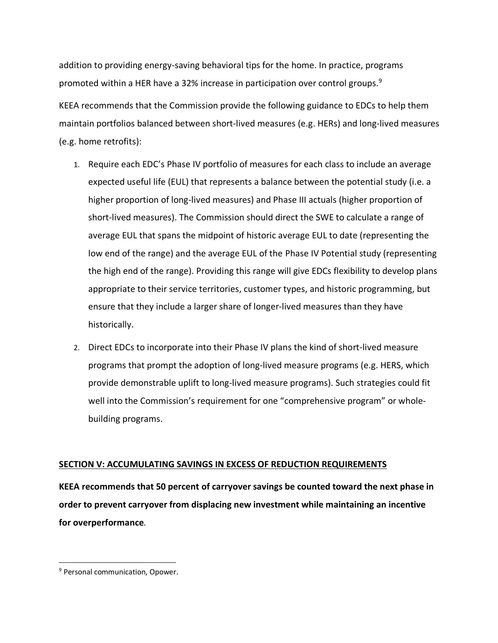addition to providing energy-saving behavioral tips for the home. In practice, programs promoted within a HER have a 32% increase in participation over control groups.<sup>9</sup>

KEEA recommends that the Commission provide the following guidance to EDCs to help them maintain portfolios balanced between short-lived measures (e.g. HERs) and long-lived measures (e.g. home retrofits):

- 1. Require each EDC's Phase IV portfolio of measures for each class to include an average expected useful life (EUL) that represents a balance between the potential study (i.e. a higher proportion of long-lived measures) and Phase III actuals (higher proportion of short-lived measures). The Commission should direct the SWE to calculate a range of average EUL that spans the midpoint of historic average EUL to date (representing the low end of the range) and the average EUL of the Phase IV Potential study (representing the high end of the range). Providing this range will give EDCs flexibility to develop plans appropriate to their service territories, customer types, and historic programming, but ensure that they include a larger share of longer-lived measures than they have historically.
- 2. Direct EDCs to incorporate into their Phase IV plans the kind of short-lived measure programs that prompt the adoption of long-lived measure programs (e.g. HERS, which provide demonstrable uplift to long-lived measure programs). Such strategies could fit well into the Commission's requirement for one "comprehensive program" or wholebuilding programs.

### **SECTION V: ACCUMULATING SAVINGS IN EXCESS OF REDUCTION REQUIREMENTS**

**KEEA recommends that 50 percent of carryover savings be counted toward the next phase in order to prevent carryover from displacing new investment while maintaining an incentive for overperformance**.

<sup>&</sup>lt;sup>9</sup> Personal communication, Opower.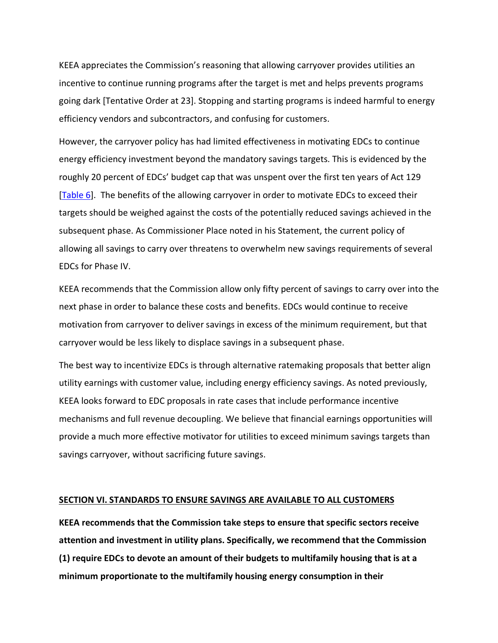KEEA appreciates the Commission's reasoning that allowing carryover provides utilities an incentive to continue running programs after the target is met and helps prevents programs going dark [Tentative Order at 23]. Stopping and starting programs is indeed harmful to energy efficiency vendors and subcontractors, and confusing for customers.

However, the carryover policy has had limited effectiveness in motivating EDCs to continue energy efficiency investment beyond the mandatory savings targets. This is evidenced by the roughly 20 percent of EDCs' budget cap that was unspent over the first ten years of Act 129 [Table 6]. The benefits of the allowing carryover in order to motivate EDCs to exceed their targets should be weighed against the costs of the potentially reduced savings achieved in the subsequent phase. As Commissioner Place noted in his Statement, the current policy of allowing all savings to carry over threatens to overwhelm new savings requirements of several EDCs for Phase IV.

KEEA recommends that the Commission allow only fifty percent of savings to carry over into the next phase in order to balance these costs and benefits. EDCs would continue to receive motivation from carryover to deliver savings in excess of the minimum requirement, but that carryover would be less likely to displace savings in a subsequent phase.

The best way to incentivize EDCs is through alternative ratemaking proposals that better align utility earnings with customer value, including energy efficiency savings. As noted previously, KEEA looks forward to EDC proposals in rate cases that include performance incentive mechanisms and full revenue decoupling. We believe that financial earnings opportunities will provide a much more effective motivator for utilities to exceed minimum savings targets than savings carryover, without sacrificing future savings.

### **SECTION VI. STANDARDS TO ENSURE SAVINGS ARE AVAILABLE TO ALL CUSTOMERS**

**KEEA recommends that the Commission take steps to ensure that specific sectors receive attention and investment in utility plans. Specifically, we recommend that the Commission (1) require EDCs to devote an amount of their budgets to multifamily housing that is at a minimum proportionate to the multifamily housing energy consumption in their**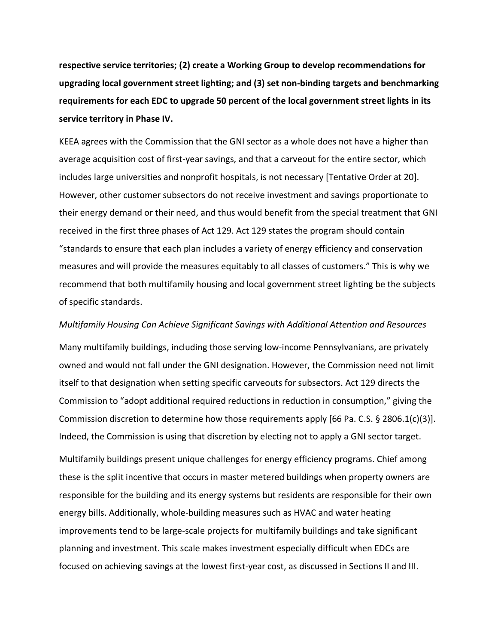**respective service territories; (2) create a Working Group to develop recommendations for upgrading local government street lighting; and (3) set non-binding targets and benchmarking requirements for each EDC to upgrade 50 percent of the local government street lights in its service territory in Phase IV.**

KEEA agrees with the Commission that the GNI sector as a whole does not have a higher than average acquisition cost of first-year savings, and that a carveout for the entire sector, which includes large universities and nonprofit hospitals, is not necessary [Tentative Order at 20]. However, other customer subsectors do not receive investment and savings proportionate to their energy demand or their need, and thus would benefit from the special treatment that GNI received in the first three phases of Act 129. Act 129 states the program should contain "standards to ensure that each plan includes a variety of energy efficiency and conservation measures and will provide the measures equitably to all classes of customers." This is why we recommend that both multifamily housing and local government street lighting be the subjects of specific standards.

*Multifamily Housing Can Achieve Significant Savings with Additional Attention and Resources* Many multifamily buildings, including those serving low-income Pennsylvanians, are privately owned and would not fall under the GNI designation. However, the Commission need not limit itself to that designation when setting specific carveouts for subsectors. Act 129 directs the Commission to "adopt additional required reductions in reduction in consumption," giving the Commission discretion to determine how those requirements apply [66 Pa. C.S. § 2806.1(c)(3)].

Indeed, the Commission is using that discretion by electing not to apply a GNI sector target.

Multifamily buildings present unique challenges for energy efficiency programs. Chief among these is the split incentive that occurs in master metered buildings when property owners are responsible for the building and its energy systems but residents are responsible for their own energy bills. Additionally, whole-building measures such as HVAC and water heating improvements tend to be large-scale projects for multifamily buildings and take significant planning and investment. This scale makes investment especially difficult when EDCs are focused on achieving savings at the lowest first-year cost, as discussed in Sections II and III.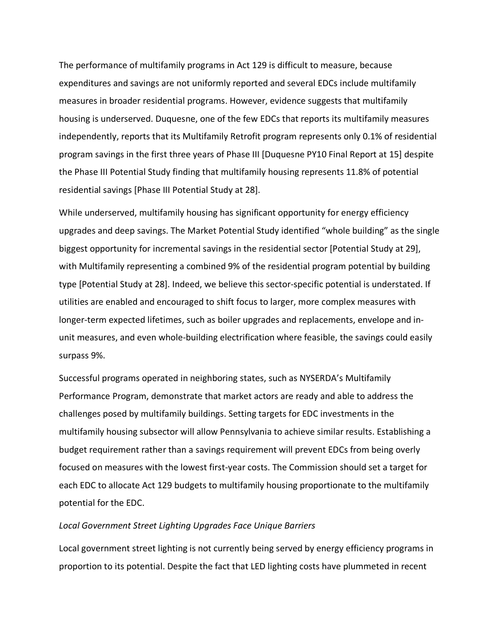The performance of multifamily programs in Act 129 is difficult to measure, because expenditures and savings are not uniformly reported and several EDCs include multifamily measures in broader residential programs. However, evidence suggests that multifamily housing is underserved. Duquesne, one of the few EDCs that reports its multifamily measures independently, reports that its Multifamily Retrofit program represents only 0.1% of residential program savings in the first three years of Phase III [Duquesne PY10 Final Report at 15] despite the Phase III Potential Study finding that multifamily housing represents 11.8% of potential residential savings [Phase III Potential Study at 28].

While underserved, multifamily housing has significant opportunity for energy efficiency upgrades and deep savings. The Market Potential Study identified "whole building" as the single biggest opportunity for incremental savings in the residential sector [Potential Study at 29], with Multifamily representing a combined 9% of the residential program potential by building type [Potential Study at 28]. Indeed, we believe this sector-specific potential is understated. If utilities are enabled and encouraged to shift focus to larger, more complex measures with longer-term expected lifetimes, such as boiler upgrades and replacements, envelope and inunit measures, and even whole-building electrification where feasible, the savings could easily surpass 9%.

Successful programs operated in neighboring states, such as NYSERDA's Multifamily Performance Program, demonstrate that market actors are ready and able to address the challenges posed by multifamily buildings. Setting targets for EDC investments in the multifamily housing subsector will allow Pennsylvania to achieve similar results. Establishing a budget requirement rather than a savings requirement will prevent EDCs from being overly focused on measures with the lowest first-year costs. The Commission should set a target for each EDC to allocate Act 129 budgets to multifamily housing proportionate to the multifamily potential for the EDC.

#### *Local Government Street Lighting Upgrades Face Unique Barriers*

Local government street lighting is not currently being served by energy efficiency programs in proportion to its potential. Despite the fact that LED lighting costs have plummeted in recent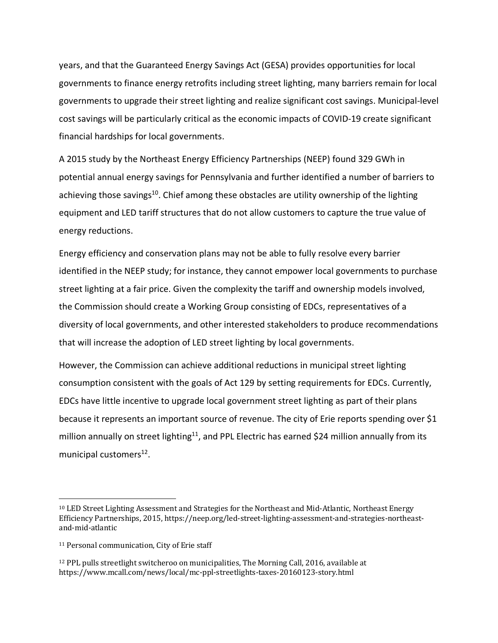years, and that the Guaranteed Energy Savings Act (GESA) provides opportunities for local governments to finance energy retrofits including street lighting, many barriers remain for local governments to upgrade their street lighting and realize significant cost savings. Municipal-level cost savings will be particularly critical as the economic impacts of COVID-19 create significant financial hardships for local governments.

A 2015 study by the Northeast Energy Efficiency Partnerships (NEEP) found 329 GWh in potential annual energy savings for Pennsylvania and further identified a number of barriers to achieving those savings<sup>10</sup>. Chief among these obstacles are utility ownership of the lighting equipment and LED tariff structures that do not allow customers to capture the true value of energy reductions.

Energy efficiency and conservation plans may not be able to fully resolve every barrier identified in the NEEP study; for instance, they cannot empower local governments to purchase street lighting at a fair price. Given the complexity the tariff and ownership models involved, the Commission should create a Working Group consisting of EDCs, representatives of a diversity of local governments, and other interested stakeholders to produce recommendations that will increase the adoption of LED street lighting by local governments.

However, the Commission can achieve additional reductions in municipal street lighting consumption consistent with the goals of Act 129 by setting requirements for EDCs. Currently, EDCs have little incentive to upgrade local government street lighting as part of their plans because it represents an important source of revenue. The city of Erie reports spending over \$1 million annually on street lighting<sup>11</sup>, and PPL Electric has earned \$24 million annually from its municipal customers $^{12}$ .

<sup>&</sup>lt;sup>10</sup> LED Street Lighting Assessment and Strategies for the Northeast and Mid-Atlantic, Northeast Energy Efficiency Partnerships, 2015, https://neep.org/led-street-lighting-assessment-and-strategies-northeastand-mid-atlantic

<sup>&</sup>lt;sup>11</sup> Personal communication, City of Erie staff

 $12$  PPL pulls streetlight switcheroo on municipalities, The Morning Call, 2016, available at https://www.mcall.com/news/local/mc-ppl-streetlights-taxes-20160123-story.html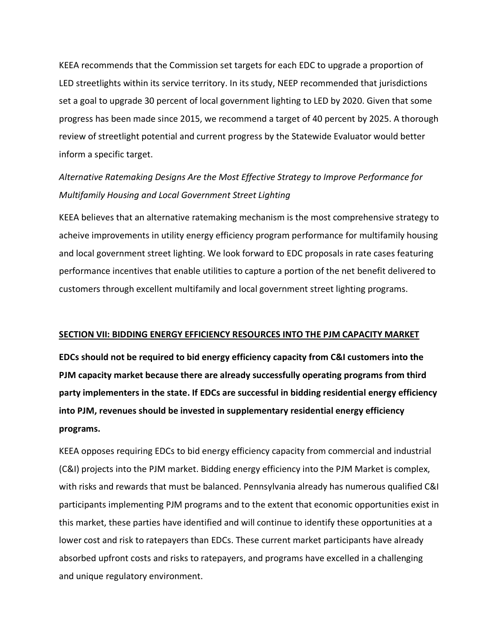KEEA recommends that the Commission set targets for each EDC to upgrade a proportion of LED streetlights within its service territory. In its study, NEEP recommended that jurisdictions set a goal to upgrade 30 percent of local government lighting to LED by 2020. Given that some progress has been made since 2015, we recommend a target of 40 percent by 2025. A thorough review of streetlight potential and current progress by the Statewide Evaluator would better inform a specific target.

# *Alternative Ratemaking Designs Are the Most Effective Strategy to Improve Performance for Multifamily Housing and Local Government Street Lighting*

KEEA believes that an alternative ratemaking mechanism is the most comprehensive strategy to acheive improvements in utility energy efficiency program performance for multifamily housing and local government street lighting. We look forward to EDC proposals in rate cases featuring performance incentives that enable utilities to capture a portion of the net benefit delivered to customers through excellent multifamily and local government street lighting programs.

#### **SECTION VII: BIDDING ENERGY EFFICIENCY RESOURCES INTO THE PJM CAPACITY MARKET**

**EDCs should not be required to bid energy efficiency capacity from C&I customers into the PJM capacity market because there are already successfully operating programs from third party implementers in the state. If EDCs are successful in bidding residential energy efficiency into PJM, revenues should be invested in supplementary residential energy efficiency programs.**

KEEA opposes requiring EDCs to bid energy efficiency capacity from commercial and industrial (C&I) projects into the PJM market. Bidding energy efficiency into the PJM Market is complex, with risks and rewards that must be balanced. Pennsylvania already has numerous qualified C&I participants implementing PJM programs and to the extent that economic opportunities exist in this market, these parties have identified and will continue to identify these opportunities at a lower cost and risk to ratepayers than EDCs. These current market participants have already absorbed upfront costs and risks to ratepayers, and programs have excelled in a challenging and unique regulatory environment.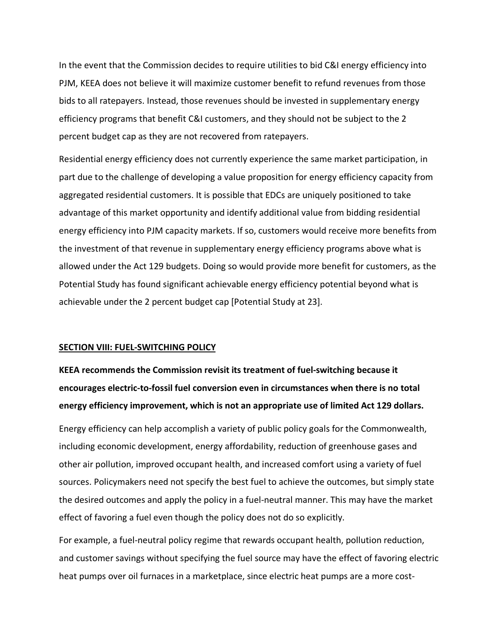In the event that the Commission decides to require utilities to bid C&I energy efficiency into PJM, KEEA does not believe it will maximize customer benefit to refund revenues from those bids to all ratepayers. Instead, those revenues should be invested in supplementary energy efficiency programs that benefit C&I customers, and they should not be subject to the 2 percent budget cap as they are not recovered from ratepayers.

Residential energy efficiency does not currently experience the same market participation, in part due to the challenge of developing a value proposition for energy efficiency capacity from aggregated residential customers. It is possible that EDCs are uniquely positioned to take advantage of this market opportunity and identify additional value from bidding residential energy efficiency into PJM capacity markets. If so, customers would receive more benefits from the investment of that revenue in supplementary energy efficiency programs above what is allowed under the Act 129 budgets. Doing so would provide more benefit for customers, as the Potential Study has found significant achievable energy efficiency potential beyond what is achievable under the 2 percent budget cap [Potential Study at 23].

#### **SECTION VIII: FUEL-SWITCHING POLICY**

# **KEEA recommends the Commission revisit its treatment of fuel-switching because it encourages electric-to-fossil fuel conversion even in circumstances when there is no total energy efficiency improvement, which is not an appropriate use of limited Act 129 dollars.**

Energy efficiency can help accomplish a variety of public policy goals for the Commonwealth, including economic development, energy affordability, reduction of greenhouse gases and other air pollution, improved occupant health, and increased comfort using a variety of fuel sources. Policymakers need not specify the best fuel to achieve the outcomes, but simply state the desired outcomes and apply the policy in a fuel-neutral manner. This may have the market effect of favoring a fuel even though the policy does not do so explicitly.

For example, a fuel-neutral policy regime that rewards occupant health, pollution reduction, and customer savings without specifying the fuel source may have the effect of favoring electric heat pumps over oil furnaces in a marketplace, since electric heat pumps are a more cost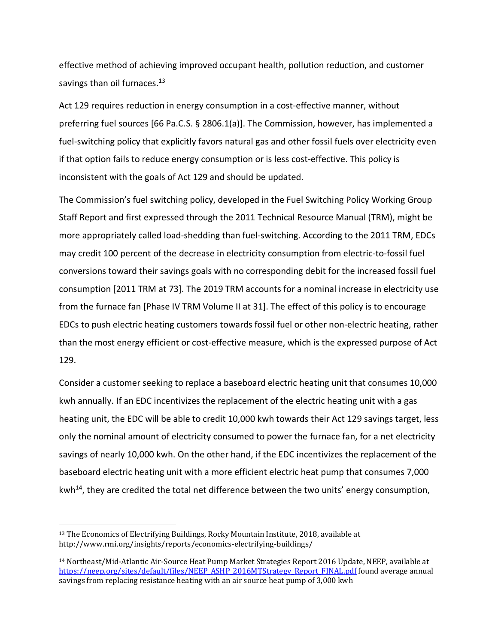effective method of achieving improved occupant health, pollution reduction, and customer savings than oil furnaces.<sup>13</sup>

Act 129 requires reduction in energy consumption in a cost-effective manner, without preferring fuel sources [66 Pa.C.S. § 2806.1(a)]. The Commission, however, has implemented a fuel-switching policy that explicitly favors natural gas and other fossil fuels over electricity even if that option fails to reduce energy consumption or is less cost-effective. This policy is inconsistent with the goals of Act 129 and should be updated.

The Commission's fuel switching policy, developed in the Fuel Switching Policy Working Group Staff Report and first expressed through the 2011 Technical Resource Manual (TRM), might be more appropriately called load-shedding than fuel-switching. According to the 2011 TRM, EDCs may credit 100 percent of the decrease in electricity consumption from electric-to-fossil fuel conversions toward their savings goals with no corresponding debit for the increased fossil fuel consumption [2011 TRM at 73]. The 2019 TRM accounts for a nominal increase in electricity use from the furnace fan [Phase IV TRM Volume II at 31]. The effect of this policy is to encourage EDCs to push electric heating customers towards fossil fuel or other non-electric heating, rather than the most energy efficient or cost-effective measure, which is the expressed purpose of Act 129.

Consider a customer seeking to replace a baseboard electric heating unit that consumes 10,000 kwh annually. If an EDC incentivizes the replacement of the electric heating unit with a gas heating unit, the EDC will be able to credit 10,000 kwh towards their Act 129 savings target, less only the nominal amount of electricity consumed to power the furnace fan, for a net electricity savings of nearly 10,000 kwh. On the other hand, if the EDC incentivizes the replacement of the baseboard electric heating unit with a more efficient electric heat pump that consumes 7,000 kwh<sup>14</sup>, they are credited the total net difference between the two units' energy consumption,

<sup>&</sup>lt;sup>13</sup> The Economics of Electrifying Buildings, Rocky Mountain Institute, 2018, available at http://www.rmi.org/insights/reports/economics-electrifying-buildings/

<sup>&</sup>lt;sup>14</sup> Northeast/Mid-Atlantic Air-Source Heat Pump Market Strategies Report 2016 Update, NEEP, available at https://neep.org/sites/default/files/NEEP\_ASHP\_2016MTStrategy\_Report\_FINAL.pdf found average annual savings from replacing resistance heating with an air source heat pump of 3,000 kwh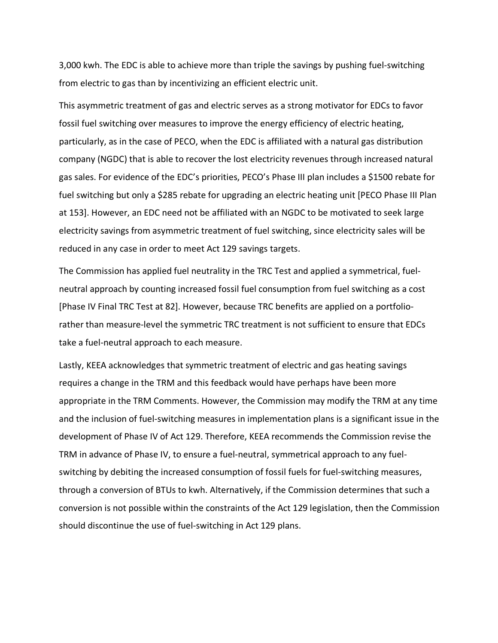3,000 kwh. The EDC is able to achieve more than triple the savings by pushing fuel-switching from electric to gas than by incentivizing an efficient electric unit.

This asymmetric treatment of gas and electric serves as a strong motivator for EDCs to favor fossil fuel switching over measures to improve the energy efficiency of electric heating, particularly, as in the case of PECO, when the EDC is affiliated with a natural gas distribution company (NGDC) that is able to recover the lost electricity revenues through increased natural gas sales. For evidence of the EDC's priorities, PECO's Phase III plan includes a \$1500 rebate for fuel switching but only a \$285 rebate for upgrading an electric heating unit [PECO Phase III Plan at 153]. However, an EDC need not be affiliated with an NGDC to be motivated to seek large electricity savings from asymmetric treatment of fuel switching, since electricity sales will be reduced in any case in order to meet Act 129 savings targets.

The Commission has applied fuel neutrality in the TRC Test and applied a symmetrical, fuelneutral approach by counting increased fossil fuel consumption from fuel switching as a cost [Phase IV Final TRC Test at 82]. However, because TRC benefits are applied on a portfoliorather than measure-level the symmetric TRC treatment is not sufficient to ensure that EDCs take a fuel-neutral approach to each measure.

Lastly, KEEA acknowledges that symmetric treatment of electric and gas heating savings requires a change in the TRM and this feedback would have perhaps have been more appropriate in the TRM Comments. However, the Commission may modify the TRM at any time and the inclusion of fuel-switching measures in implementation plans is a significant issue in the development of Phase IV of Act 129. Therefore, KEEA recommends the Commission revise the TRM in advance of Phase IV, to ensure a fuel-neutral, symmetrical approach to any fuelswitching by debiting the increased consumption of fossil fuels for fuel-switching measures, through a conversion of BTUs to kwh. Alternatively, if the Commission determines that such a conversion is not possible within the constraints of the Act 129 legislation, then the Commission should discontinue the use of fuel-switching in Act 129 plans.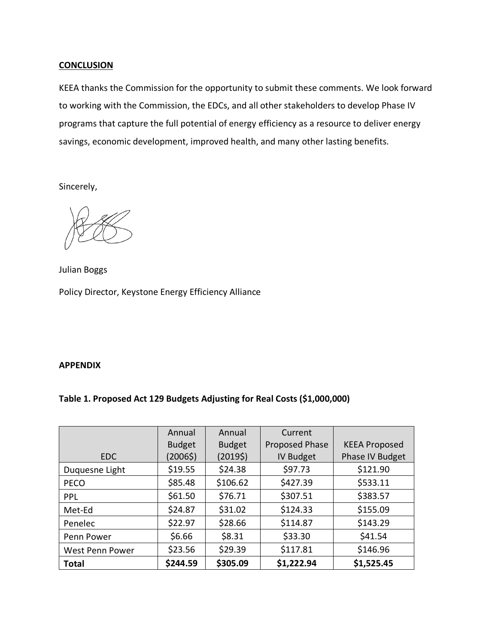### **CONCLUSION**

KEEA thanks the Commission for the opportunity to submit these comments. We look forward to working with the Commission, the EDCs, and all other stakeholders to develop Phase IV programs that capture the full potential of energy efficiency as a resource to deliver energy savings, economic development, improved health, and many other lasting benefits.

Sincerely,

Julian Boggs Policy Director, Keystone Energy Efficiency Alliance

### **APPENDIX**

## **Table 1. Proposed Act 129 Budgets Adjusting for Real Costs (\$1,000,000)**

|                 | Annual        | Annual        | Current               |                      |
|-----------------|---------------|---------------|-----------------------|----------------------|
|                 | <b>Budget</b> | <b>Budget</b> | <b>Proposed Phase</b> | <b>KEEA Proposed</b> |
| <b>EDC</b>      | (2006\$)      | (2019\$)      | <b>IV Budget</b>      | Phase IV Budget      |
| Duquesne Light  | \$19.55       | \$24.38       | \$97.73               | \$121.90             |
| <b>PECO</b>     | \$85.48       | \$106.62      | \$427.39              | \$533.11             |
| <b>PPL</b>      | \$61.50       | \$76.71       | \$307.51              | \$383.57             |
| Met-Ed          | \$24.87       | \$31.02       | \$124.33              | \$155.09             |
| Penelec         | \$22.97       | \$28.66       | \$114.87              | \$143.29             |
| Penn Power      | \$6.66        | \$8.31        | \$33.30               | \$41.54              |
| West Penn Power | \$23.56       | \$29.39       | \$117.81              | \$146.96             |
| <b>Total</b>    | \$244.59      | \$305.09      | \$1,222.94            | \$1,525.45           |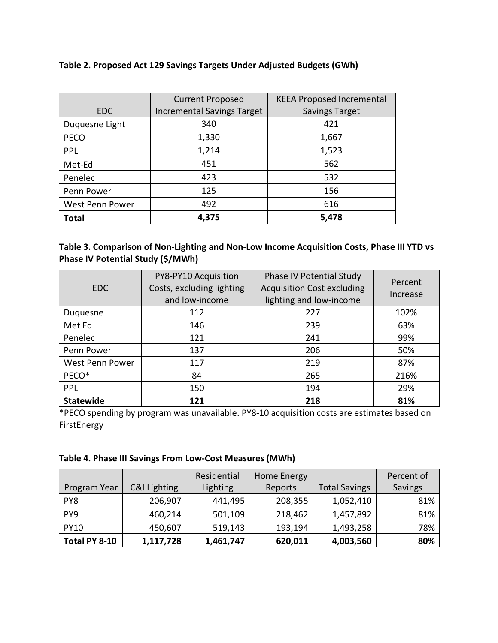## **Table 2. Proposed Act 129 Savings Targets Under Adjusted Budgets (GWh)**

|                 | <b>Current Proposed</b>           | <b>KEEA Proposed Incremental</b> |
|-----------------|-----------------------------------|----------------------------------|
| <b>EDC</b>      | <b>Incremental Savings Target</b> | <b>Savings Target</b>            |
| Duquesne Light  | 340                               | 421                              |
| <b>PECO</b>     | 1,330                             | 1,667                            |
| <b>PPL</b>      | 1,214                             | 1,523                            |
| Met-Ed          | 451                               | 562                              |
| Penelec         | 423                               | 532                              |
| Penn Power      | 125                               | 156                              |
| West Penn Power | 492                               | 616                              |
| Total           | 4,375                             | 5,478                            |

## **Table 3. Comparison of Non-Lighting and Non-Low Income Acquisition Costs, Phase III YTD vs Phase IV Potential Study (\$/MWh)**

| <b>EDC</b>       | PY8-PY10 Acquisition<br>Costs, excluding lighting<br>and low-income | Phase IV Potential Study<br><b>Acquisition Cost excluding</b><br>lighting and low-income | Percent<br>Increase |
|------------------|---------------------------------------------------------------------|------------------------------------------------------------------------------------------|---------------------|
| Duquesne         | 112                                                                 | 227                                                                                      | 102%                |
| Met Ed           | 146                                                                 | 239                                                                                      | 63%                 |
| Penelec          | 121                                                                 | 241                                                                                      | 99%                 |
| Penn Power       | 137                                                                 | 206                                                                                      | 50%                 |
| West Penn Power  | 117                                                                 | 219                                                                                      | 87%                 |
| PECO*            | 84                                                                  | 265                                                                                      | 216%                |
| <b>PPL</b>       | 150                                                                 | 194                                                                                      | 29%                 |
| <b>Statewide</b> | 121                                                                 | 218                                                                                      | 81%                 |

\*PECO spending by program was unavailable. PY8-10 acquisition costs are estimates based on FirstEnergy

## **Table 4. Phase III Savings From Low-Cost Measures (MWh)**

|                 |              | Residential | Home Energy |                      | Percent of |
|-----------------|--------------|-------------|-------------|----------------------|------------|
| Program Year    | C&I Lighting | Lighting    | Reports     | <b>Total Savings</b> | Savings    |
| PY8             | 206,907      | 441,495     | 208,355     | 1,052,410            | 81%        |
| PY <sub>9</sub> | 460,214      | 501,109     | 218,462     | 1,457,892            | 81%        |
| <b>PY10</b>     | 450,607      | 519,143     | 193,194     | 1,493,258            | 78%        |
| Total PY 8-10   | 1,117,728    | 1,461,747   | 620,011     | 4,003,560            | 80%        |